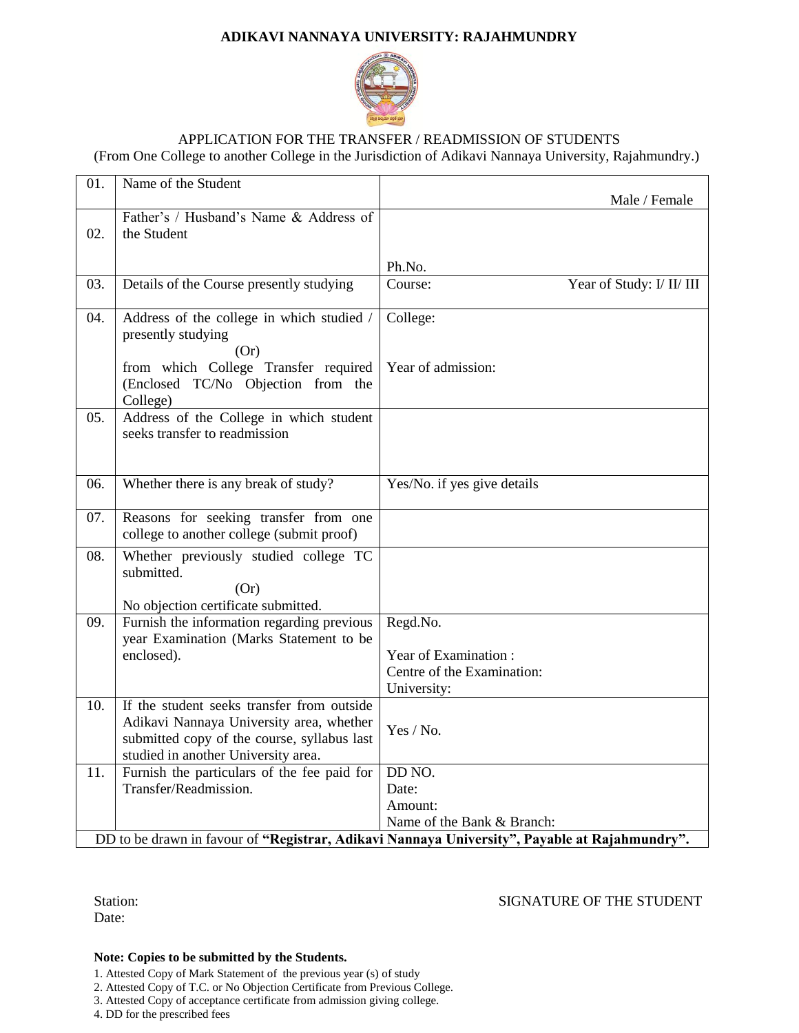# **ADIKAVI NANNAYA UNIVERSITY: RAJAHMUNDRY**



### APPLICATION FOR THE TRANSFER / READMISSION OF STUDENTS (From One College to another College in the Jurisdiction of Adikavi Nannaya University, Rajahmundry.)

| 01.                                                                                                                         | Name of the Student                                                                                                                                                          | Male / Female                                                                 |
|-----------------------------------------------------------------------------------------------------------------------------|------------------------------------------------------------------------------------------------------------------------------------------------------------------------------|-------------------------------------------------------------------------------|
| 02.                                                                                                                         | Father's / Husband's Name & Address of<br>the Student                                                                                                                        |                                                                               |
|                                                                                                                             |                                                                                                                                                                              | Ph.No.                                                                        |
| 03.                                                                                                                         | Details of the Course presently studying                                                                                                                                     | Year of Study: I/ II/ III<br>Course:                                          |
| 04.                                                                                                                         | Address of the college in which studied /<br>presently studying<br>(Or)                                                                                                      | College:                                                                      |
|                                                                                                                             | from which College Transfer required<br>(Enclosed TC/No Objection from the<br>College)                                                                                       | Year of admission:                                                            |
| 05.                                                                                                                         | Address of the College in which student<br>seeks transfer to readmission                                                                                                     |                                                                               |
| 06.                                                                                                                         | Whether there is any break of study?                                                                                                                                         | Yes/No. if yes give details                                                   |
| 07.                                                                                                                         | Reasons for seeking transfer from one<br>college to another college (submit proof)                                                                                           |                                                                               |
| 08.                                                                                                                         | Whether previously studied college TC<br>submitted.<br>(Or)<br>No objection certificate submitted.                                                                           |                                                                               |
| 09.                                                                                                                         | Furnish the information regarding previous<br>year Examination (Marks Statement to be<br>enclosed).                                                                          | Regd.No.<br>Year of Examination:<br>Centre of the Examination:<br>University: |
| 10.                                                                                                                         | If the student seeks transfer from outside<br>Adikavi Nannaya University area, whether<br>submitted copy of the course, syllabus last<br>studied in another University area. | Yes / No.                                                                     |
| 11.                                                                                                                         | Furnish the particulars of the fee paid for<br>Transfer/Readmission.                                                                                                         | DD NO.<br>Date:<br>Amount:                                                    |
| Name of the Bank & Branch:<br>DD to be drawn in favour of "Registrar, Adikavi Nannaya University", Payable at Rajahmundry". |                                                                                                                                                                              |                                                                               |

Date:

Station: SIGNATURE OF THE STUDENT

#### **Note: Copies to be submitted by the Students.**

1. Attested Copy of Mark Statement of the previous year (s) of study

2. Attested Copy of T.C. or No Objection Certificate from Previous College.

3. Attested Copy of acceptance certificate from admission giving college.

4. DD for the prescribed fees